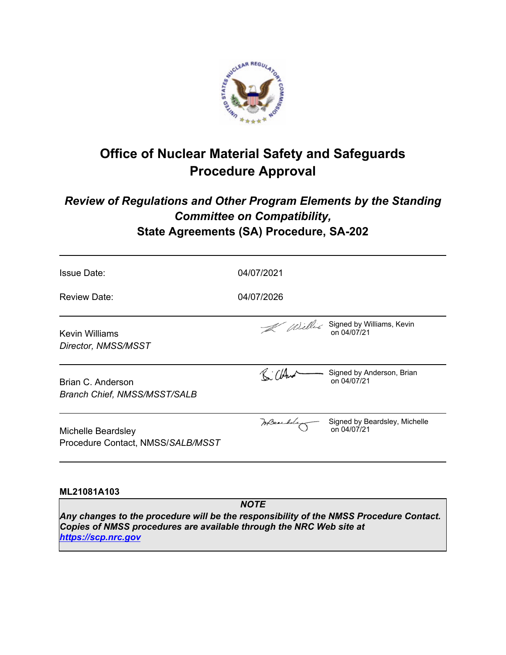

# **Office of Nuclear Material Safety and Safeguards Procedure Approval**

# *Review of Regulations and Other Program Elements by the Standing Committee on Compatibility,* **State Agreements (SA) Procedure, SA-202**

| <b>Issue Date:</b>                                       | 04/07/2021 |                                              |
|----------------------------------------------------------|------------|----------------------------------------------|
| <b>Review Date:</b>                                      | 04/07/2026 |                                              |
| Kevin Williams<br>Director, NMSS/MSST                    |            | Williams, Kevin<br>on 04/07/21               |
| Brian C. Anderson<br><b>Branch Chief, NMSS/MSST/SALB</b> |            | Signed by Anderson, Brian<br>on 04/07/21     |
| Michelle Beardsley<br>Procedure Contact, NMSS/SALB/MSST  | meanding   | Signed by Beardsley, Michelle<br>on 04/07/21 |
|                                                          |            |                                              |

# **ML21081A103**

*NOTE*

*Any changes to the procedure will be the responsibility of the NMSS Procedure Contact. Copies of NMSS procedures are available through the NRC Web site at <https://scp.nrc.gov>*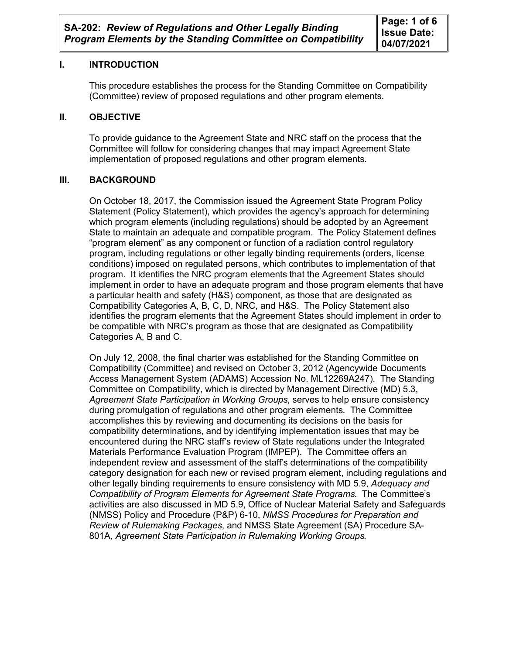# **I. INTRODUCTION**

This procedure establishes the process for the Standing Committee on Compatibility (Committee) review of proposed regulations and other program elements.

## **II. OBJECTIVE**

To provide guidance to the Agreement State and NRC staff on the process that the Committee will follow for considering changes that may impact Agreement State implementation of proposed regulations and other program elements.

# **III. BACKGROUND**

On October 18, 2017, the Commission issued the Agreement State Program Policy Statement (Policy Statement), which provides the agency's approach for determining which program elements (including regulations) should be adopted by an Agreement State to maintain an adequate and compatible program. The Policy Statement defines "program element" as any component or function of a radiation control regulatory program, including regulations or other legally binding requirements (orders, license conditions) imposed on regulated persons, which contributes to implementation of that program. It identifies the NRC program elements that the Agreement States should implement in order to have an adequate program and those program elements that have a particular health and safety (H&S) component, as those that are designated as Compatibility Categories A, B, C, D, NRC, and H&S. The Policy Statement also identifies the program elements that the Agreement States should implement in order to be compatible with NRC's program as those that are designated as Compatibility Categories A, B and C.

On July 12, 2008, the final charter was established for the Standing Committee on Compatibility (Committee) and revised on October 3, 2012 (Agencywide Documents Access Management System (ADAMS) Accession No. ML12269A247). The Standing Committee on Compatibility, which is directed by Management Directive (MD) 5.3, *Agreement State Participation in Working Groups*, serves to help ensure consistency during promulgation of regulations and other program elements. The Committee accomplishes this by reviewing and documenting its decisions on the basis for compatibility determinations, and by identifying implementation issues that may be encountered during the NRC staff's review of State regulations under the Integrated Materials Performance Evaluation Program (IMPEP). The Committee offers an independent review and assessment of the staff's determinations of the compatibility category designation for each new or revised program element, including regulations and other legally binding requirements to ensure consistency with MD 5.9, *Adequacy and Compatibility of Program Elements for Agreement State Programs*. The Committee's activities are also discussed in MD 5.9, Office of Nuclear Material Safety and Safeguards (NMSS) Policy and Procedure (P&P) 6-10, *NMSS Procedures for Preparation and Review of Rulemaking Packages*, and NMSS State Agreement (SA) Procedure SA-801A, *Agreement State Participation in Rulemaking Working Groups.*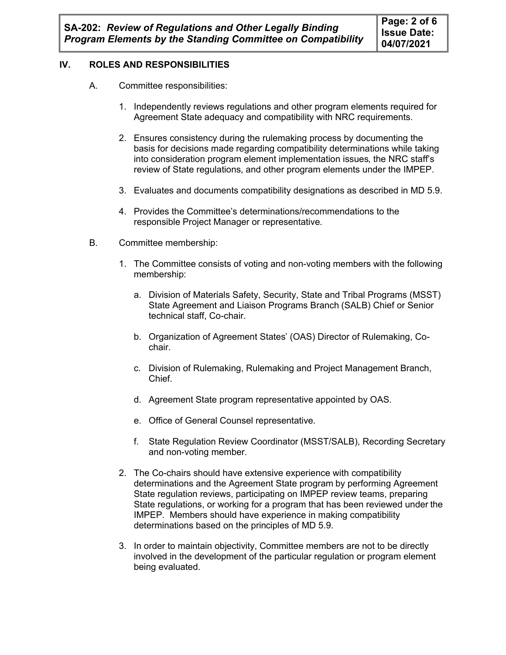# **IV. ROLES AND RESPONSIBILITIES**

- A. Committee responsibilities:
	- 1. Independently reviews regulations and other program elements required for Agreement State adequacy and compatibility with NRC requirements.
	- 2. Ensures consistency during the rulemaking process by documenting the basis for decisions made regarding compatibility determinations while taking into consideration program element implementation issues, the NRC staff's review of State regulations, and other program elements under the IMPEP.
	- 3. Evaluates and documents compatibility designations as described in MD 5.9.
	- 4. Provides the Committee's determinations/recommendations to the responsible Project Manager or representative.
- B. Committee membership:
	- 1. The Committee consists of voting and non-voting members with the following membership:
		- a. Division of Materials Safety, Security, State and Tribal Programs (MSST) State Agreement and Liaison Programs Branch (SALB) Chief or Senior technical staff, Co-chair.
		- b. Organization of Agreement States' (OAS) Director of Rulemaking, Cochair.
		- c. Division of Rulemaking, Rulemaking and Project Management Branch, Chief.
		- d. Agreement State program representative appointed by OAS.
		- e. Office of General Counsel representative.
		- f. State Regulation Review Coordinator (MSST/SALB), Recording Secretary and non-voting member.
	- 2. The Co-chairs should have extensive experience with compatibility determinations and the Agreement State program by performing Agreement State regulation reviews, participating on IMPEP review teams, preparing State regulations, or working for a program that has been reviewed under the IMPEP. Members should have experience in making compatibility determinations based on the principles of MD 5.9.
	- 3. In order to maintain objectivity, Committee members are not to be directly involved in the development of the particular regulation or program element being evaluated.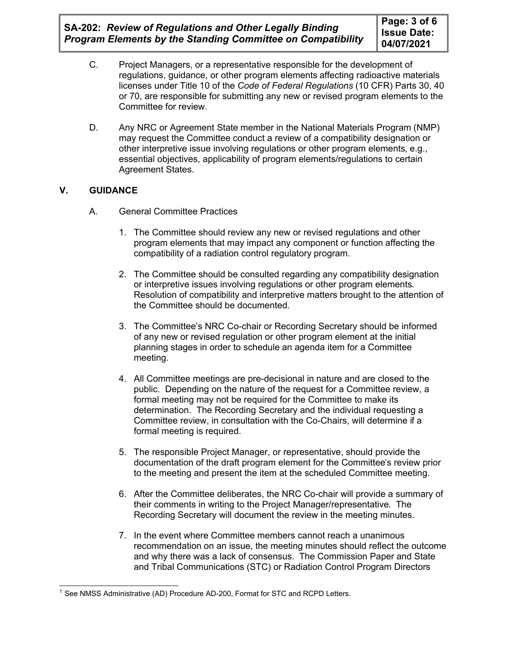**SA-202:** *Review of Regulations and Other Legally Binding Program Elements by the Standing Committee on Compatibility*

- C. Project Managers, or a representative responsible for the development of regulations, guidance, or other program elements affecting radioactive materials licenses under Title 10 of the *Code of Federal Regulations* (10 CFR) Parts 30, 40 or 70, are responsible for submitting any new or revised program elements to the Committee for review.
- D. Any NRC or Agreement State member in the National Materials Program (NMP) may request the Committee conduct a review of a compatibility designation or other interpretive issue involving regulations or other program elements, e.g., essential objectives, applicability of program elements/regulations to certain Agreement States.

# **V. GUIDANCE**

- A. General Committee Practices
	- 1. The Committee should review any new or revised regulations and other program elements that may impact any component or function affecting the compatibility of a radiation control regulatory program.
	- 2. The Committee should be consulted regarding any compatibility designation or interpretive issues involving regulations or other program elements. Resolution of compatibility and interpretive matters brought to the attention of the Committee should be documented.
	- 3. The Committee's NRC Co-chair or Recording Secretary should be informed of any new or revised regulation or other program element at the initial planning stages in order to schedule an agenda item for a Committee meeting.
	- 4. All Committee meetings are pre-decisional in nature and are closed to the public. Depending on the nature of the request for a Committee review, a formal meeting may not be required for the Committee to make its determination. The Recording Secretary and the individual requesting a Committee review, in consultation with the Co-Chairs, will determine if a formal meeting is required.
	- 5. The responsible Project Manager, or representative, should provide the documentation of the draft program element for the Committee's review prior to the meeting and present the item at the scheduled Committee meeting.
	- 6. After the Committee deliberates, the NRC Co-chair will provide a summary of their comments in writing to the Project Manager/representative. The Recording Secretary will document the review in the meeting minutes.
	- 7. In the event where Committee members cannot reach a unanimous recommendation on an issue, the meeting minutes should reflect the outcome and why there was a lack of consensus. The Commission Paper and State and Tribal Communications (STC) or Radiation Control Program Directors

<sup>&</sup>lt;sup>1</sup> See NMSS Administrative (AD) Procedure AD-200, Format for STC and RCPD Letters.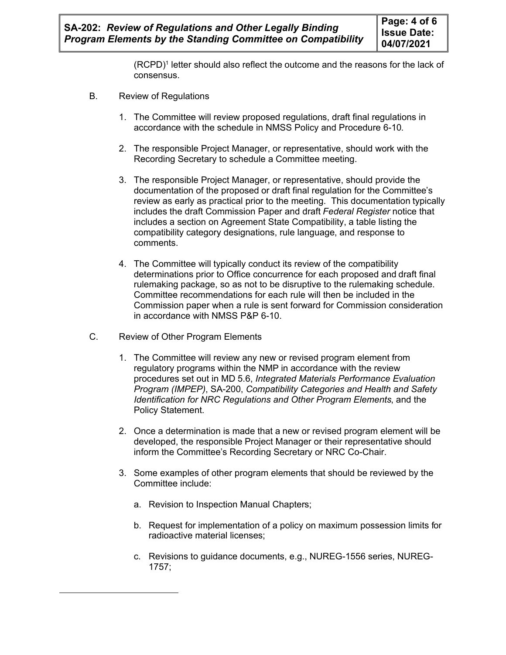(RCPD)<sup>1</sup> letter should also reflect the outcome and the reasons for the lack of consensus.

- B. Review of Regulations
	- 1. The Committee will review proposed regulations, draft final regulations in accordance with the schedule in NMSS Policy and Procedure 6-10.
	- 2. The responsible Project Manager, or representative, should work with the Recording Secretary to schedule a Committee meeting.
	- 3. The responsible Project Manager, or representative, should provide the documentation of the proposed or draft final regulation for the Committee's review as early as practical prior to the meeting. This documentation typically includes the draft Commission Paper and draft *Federal Register* notice that includes a section on Agreement State Compatibility, a table listing the compatibility category designations, rule language, and response to comments.
	- 4. The Committee will typically conduct its review of the compatibility determinations prior to Office concurrence for each proposed and draft final rulemaking package, so as not to be disruptive to the rulemaking schedule. Committee recommendations for each rule will then be included in the Commission paper when a rule is sent forward for Commission consideration in accordance with NMSS P&P 6-10.
- C. Review of Other Program Elements
	- 1. The Committee will review any new or revised program element from regulatory programs within the NMP in accordance with the review procedures set out in MD 5.6, *Integrated Materials Performance Evaluation Program (IMPEP)*, SA-200, *Compatibility Categories and Health and Safety Identification for NRC Regulations and Other Program Elements*, and the Policy Statement.
	- 2. Once a determination is made that a new or revised program element will be developed, the responsible Project Manager or their representative should inform the Committee's Recording Secretary or NRC Co-Chair.
	- 3. Some examples of other program elements that should be reviewed by the Committee include:
		- a. Revision to Inspection Manual Chapters;
		- b. Request for implementation of a policy on maximum possession limits for radioactive material licenses;
		- c. Revisions to guidance documents, e.g., NUREG-1556 series, NUREG-1757;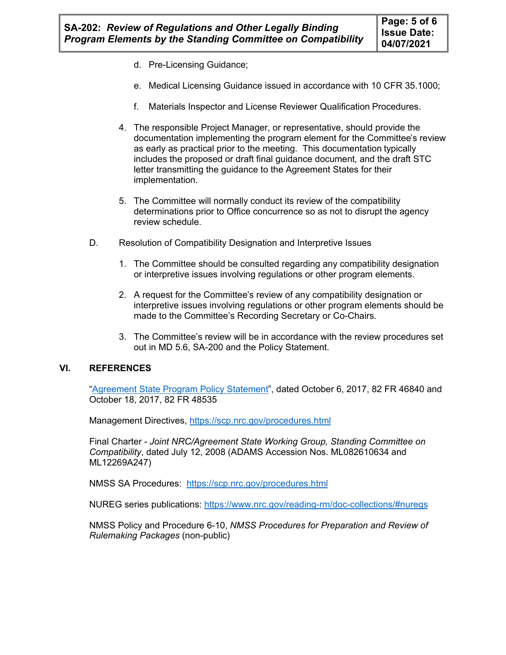- d. Pre-Licensing Guidance;
- e. Medical Licensing Guidance issued in accordance with 10 CFR 35.1000;
- f. Materials Inspector and License Reviewer Qualification Procedures.
- 4. The responsible Project Manager, or representative, should provide the documentation implementing the program element for the Committee's review as early as practical prior to the meeting. This documentation typically includes the proposed or draft final guidance document, and the draft STC letter transmitting the guidance to the Agreement States for their implementation.
- 5. The Committee will normally conduct its review of the compatibility determinations prior to Office concurrence so as not to disrupt the agency review schedule.
- D. Resolution of Compatibility Designation and Interpretive Issues
	- 1. The Committee should be consulted regarding any compatibility designation or interpretive issues involving regulations or other program elements.
	- 2. A request for the Committee's review of any compatibility designation or interpretive issues involving regulations or other program elements should be made to the Committee's Recording Secretary or Co-Chairs.
	- 3. The Committee's review will be in accordance with the review procedures set out in MD 5.6, SA-200 and the Policy Statement.

#### **VI. REFERENCES**

"Agreement State Program Policy Statement", dated October 6, 2017, 82 FR 46840 and October 18, 2017, 82 FR 48535

Management Directives, <https://scp.nrc.gov/procedures.html>

Final Charter - *Joint NRC/Agreement State Working Group, Standing Committee on Compatibility*, dated July 12, 2008 (ADAMS Accession Nos. ML082610634 and ML12269A247)

NMSS SA Procedures:<https://scp.nrc.gov/procedures.html>

NUREG series publications:<https://www.nrc.gov/reading-rm/doc-collections/#nuregs>

NMSS Policy and Procedure 6-10, *NMSS Procedures for Preparation and Review of Rulemaking Packages* (non-public)